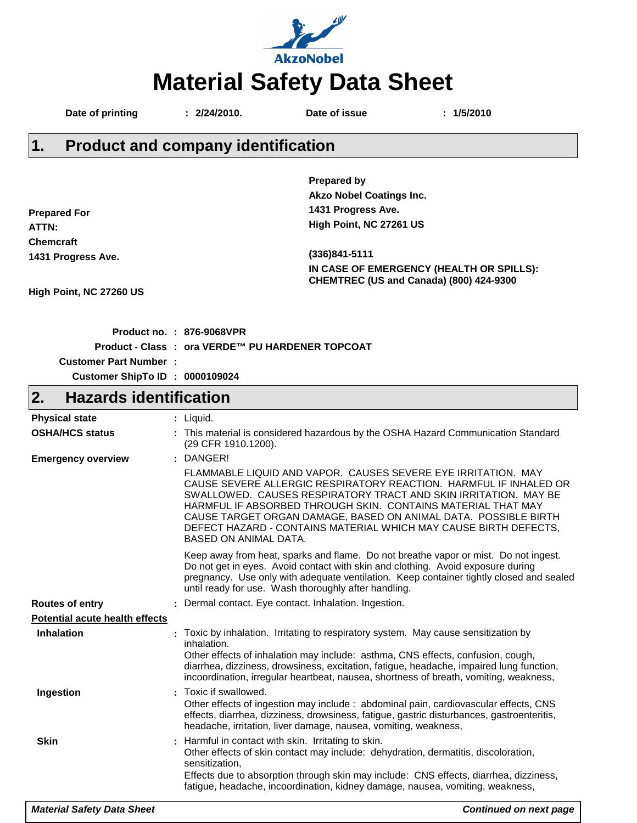

Date of printing : 2/24/2010. Date of issue : 1/5/2010

**1. Product and company identification**

|                                     | <b>Prepared by</b>                                                                                                                                                                                                                                                                                                                                                                                                                    |
|-------------------------------------|---------------------------------------------------------------------------------------------------------------------------------------------------------------------------------------------------------------------------------------------------------------------------------------------------------------------------------------------------------------------------------------------------------------------------------------|
|                                     | <b>Akzo Nobel Coatings Inc.</b>                                                                                                                                                                                                                                                                                                                                                                                                       |
| <b>Prepared For</b>                 | 1431 Progress Ave.                                                                                                                                                                                                                                                                                                                                                                                                                    |
| ATTN:                               | High Point, NC 27261 US                                                                                                                                                                                                                                                                                                                                                                                                               |
| <b>Chemcraft</b>                    |                                                                                                                                                                                                                                                                                                                                                                                                                                       |
| 1431 Progress Ave.                  | (336)841-5111                                                                                                                                                                                                                                                                                                                                                                                                                         |
|                                     | IN CASE OF EMERGENCY (HEALTH OR SPILLS):                                                                                                                                                                                                                                                                                                                                                                                              |
|                                     | CHEMTREC (US and Canada) (800) 424-9300                                                                                                                                                                                                                                                                                                                                                                                               |
| High Point, NC 27260 US             |                                                                                                                                                                                                                                                                                                                                                                                                                                       |
|                                     |                                                                                                                                                                                                                                                                                                                                                                                                                                       |
|                                     | Product no. : 876-9068VPR                                                                                                                                                                                                                                                                                                                                                                                                             |
|                                     | Product - Class : ora VERDE™ PU HARDENER TOPCOAT                                                                                                                                                                                                                                                                                                                                                                                      |
| <b>Customer Part Number:</b>        |                                                                                                                                                                                                                                                                                                                                                                                                                                       |
| Customer ShipTo ID : 0000109024     |                                                                                                                                                                                                                                                                                                                                                                                                                                       |
| <b>Hazards identification</b><br>2. |                                                                                                                                                                                                                                                                                                                                                                                                                                       |
|                                     |                                                                                                                                                                                                                                                                                                                                                                                                                                       |
| <b>Physical state</b>               | : Liquid.<br>: This material is considered hazardous by the OSHA Hazard Communication Standard                                                                                                                                                                                                                                                                                                                                        |
| <b>OSHA/HCS status</b>              | (29 CFR 1910.1200).                                                                                                                                                                                                                                                                                                                                                                                                                   |
| <b>Emergency overview</b>           | : DANGER!                                                                                                                                                                                                                                                                                                                                                                                                                             |
|                                     | FLAMMABLE LIQUID AND VAPOR. CAUSES SEVERE EYE IRRITATION. MAY<br>CAUSE SEVERE ALLERGIC RESPIRATORY REACTION. HARMFUL IF INHALED OR<br>SWALLOWED. CAUSES RESPIRATORY TRACT AND SKIN IRRITATION. MAY BE<br>HARMFUL IF ABSORBED THROUGH SKIN. CONTAINS MATERIAL THAT MAY<br>CAUSE TARGET ORGAN DAMAGE, BASED ON ANIMAL DATA. POSSIBLE BIRTH<br>DEFECT HAZARD - CONTAINS MATERIAL WHICH MAY CAUSE BIRTH DEFECTS,<br>BASED ON ANIMAL DATA. |
|                                     | Keep away from heat, sparks and flame. Do not breathe vapor or mist. Do not ingest.<br>Do not get in eyes. Avoid contact with skin and clothing. Avoid exposure during<br>pregnancy. Use only with adequate ventilation. Keep container tightly closed and sealed<br>until ready for use. Wash thoroughly after handling.                                                                                                             |
| <b>Routes of entry</b>              | : Dermal contact. Eye contact. Inhalation. Ingestion.                                                                                                                                                                                                                                                                                                                                                                                 |
| Potential acute health effects      |                                                                                                                                                                                                                                                                                                                                                                                                                                       |
| <b>Inhalation</b>                   | : Toxic by inhalation. Irritating to respiratory system. May cause sensitization by<br>inhalation.<br>Other effects of inhalation may include: asthma, CNS effects, confusion, cough,<br>diarrhea, dizziness, drowsiness, excitation, fatigue, headache, impaired lung function,<br>incoordination, irregular heartbeat, nausea, shortness of breath, vomiting, weakness,                                                             |
| Ingestion                           | : Toxic if swallowed.<br>Other effects of ingestion may include : abdominal pain, cardiovascular effects, CNS<br>effects, diarrhea, dizziness, drowsiness, fatigue, gastric disturbances, gastroenteritis,<br>headache, irritation, liver damage, nausea, vomiting, weakness,                                                                                                                                                         |

## **Skin Harmful in contact with skin. Irritating to skin. Skin. :** Harmful in contact with skin. Irritating to skin. Other effects of skin contact may include: dehydration, dermatitis, discoloration, sensitization, Effects due to absorption through skin may include: CNS effects, diarrhea, dizziness, fatigue, headache, incoordination, kidney damage, nausea, vomiting, weakness,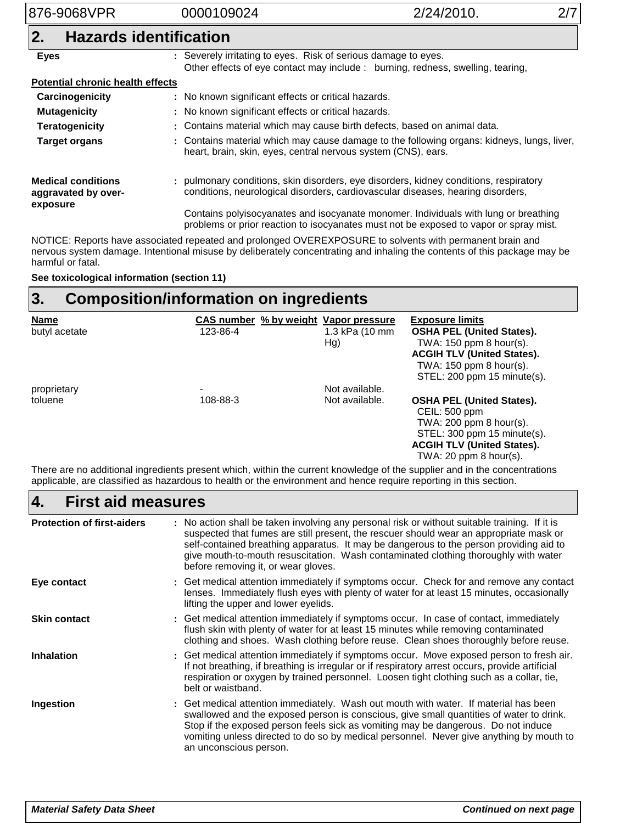| 876-9068VPR                                      | 0000109024                                                     | 2/24/2010.                                                                                                                                                                   |  |  |  |  |  |
|--------------------------------------------------|----------------------------------------------------------------|------------------------------------------------------------------------------------------------------------------------------------------------------------------------------|--|--|--|--|--|
| <b>Hazards identification</b><br>2.              |                                                                |                                                                                                                                                                              |  |  |  |  |  |
| <b>Eyes</b>                                      | : Severely irritating to eyes. Risk of serious damage to eyes. | Other effects of eye contact may include : burning, redness, swelling, tearing,                                                                                              |  |  |  |  |  |
| <b>Potential chronic health effects</b>          |                                                                |                                                                                                                                                                              |  |  |  |  |  |
| Carcinogenicity                                  |                                                                | : No known significant effects or critical hazards.                                                                                                                          |  |  |  |  |  |
| <b>Mutagenicity</b>                              |                                                                | : No known significant effects or critical hazards.                                                                                                                          |  |  |  |  |  |
| <b>Teratogenicity</b>                            |                                                                | : Contains material which may cause birth defects, based on animal data.                                                                                                     |  |  |  |  |  |
| <b>Target organs</b>                             | heart, brain, skin, eyes, central nervous system (CNS), ears.  | : Contains material which may cause damage to the following organs: kidneys, lungs, liver,                                                                                   |  |  |  |  |  |
| <b>Medical conditions</b><br>aggravated by over- |                                                                | : pulmonary conditions, skin disorders, eye disorders, kidney conditions, respiratory<br>conditions, neurological disorders, cardiovascular diseases, hearing disorders,     |  |  |  |  |  |
| exposure                                         |                                                                | Contains polyisocyanates and isocyanate monomer. Individuals with lung or breathing<br>problems or prior reaction to isocyanates must not be exposed to vapor or spray mist. |  |  |  |  |  |

NOTICE: Reports have associated repeated and prolonged OVEREXPOSURE to solvents with permanent brain and nervous system damage. Intentional misuse by deliberately concentrating and inhaling the contents of this package may be harmful or fatal.

**See toxicological information (section 11)**

#### **Composition/information on ingredients 3.**

| <b>Name</b>   | CAS number % by weight Vapor pressure |                | <b>Exposure limits</b>                                                                                                                                                           |
|---------------|---------------------------------------|----------------|----------------------------------------------------------------------------------------------------------------------------------------------------------------------------------|
| butyl acetate | 123-86-4                              | 1.3 kPa (10 mm | <b>OSHA PEL (United States).</b>                                                                                                                                                 |
|               |                                       | Hg)            | TWA: $150$ ppm 8 hour(s).                                                                                                                                                        |
|               |                                       |                | <b>ACGIH TLV (United States).</b>                                                                                                                                                |
|               |                                       |                | TWA: $150$ ppm 8 hour(s).<br>STEL: 200 ppm 15 minute(s).                                                                                                                         |
| proprietary   | $\qquad \qquad$                       | Not available. |                                                                                                                                                                                  |
| toluene       | 108-88-3                              | Not available. | <b>OSHA PEL (United States).</b><br>CEIL: 500 ppm<br>TWA: $200$ ppm 8 hour(s).<br>STEL: 300 ppm 15 minute(s).<br><b>ACGIH TLV (United States).</b><br>TWA: $20$ ppm $8$ hour(s). |

There are no additional ingredients present which, within the current knowledge of the supplier and in the concentrations applicable, are classified as hazardous to health or the environment and hence require reporting in this section.

| <b>First aid measures</b><br>4.   |                                                                                                                                                                                                                                                                                                                                                                                                                 |  |  |  |
|-----------------------------------|-----------------------------------------------------------------------------------------------------------------------------------------------------------------------------------------------------------------------------------------------------------------------------------------------------------------------------------------------------------------------------------------------------------------|--|--|--|
| <b>Protection of first-aiders</b> | : No action shall be taken involving any personal risk or without suitable training. If it is<br>suspected that fumes are still present, the rescuer should wear an appropriate mask or<br>self-contained breathing apparatus. It may be dangerous to the person providing aid to<br>give mouth-to-mouth resuscitation. Wash contaminated clothing thoroughly with water<br>before removing it, or wear gloves. |  |  |  |
| Eye contact                       | : Get medical attention immediately if symptoms occur. Check for and remove any contact<br>lenses. Immediately flush eyes with plenty of water for at least 15 minutes, occasionally<br>lifting the upper and lower eyelids.                                                                                                                                                                                    |  |  |  |
| <b>Skin contact</b>               | : Get medical attention immediately if symptoms occur. In case of contact, immediately<br>flush skin with plenty of water for at least 15 minutes while removing contaminated<br>clothing and shoes. Wash clothing before reuse. Clean shoes thoroughly before reuse.                                                                                                                                           |  |  |  |
| <b>Inhalation</b>                 | : Get medical attention immediately if symptoms occur. Move exposed person to fresh air.<br>If not breathing, if breathing is irregular or if respiratory arrest occurs, provide artificial<br>respiration or oxygen by trained personnel. Loosen tight clothing such as a collar, tie,<br>belt or waistband.                                                                                                   |  |  |  |
| Ingestion                         | : Get medical attention immediately. Wash out mouth with water. If material has been<br>swallowed and the exposed person is conscious, give small quantities of water to drink.<br>Stop if the exposed person feels sick as vomiting may be dangerous. Do not induce<br>vomiting unless directed to do so by medical personnel. Never give anything by mouth to<br>an unconscious person.                       |  |  |  |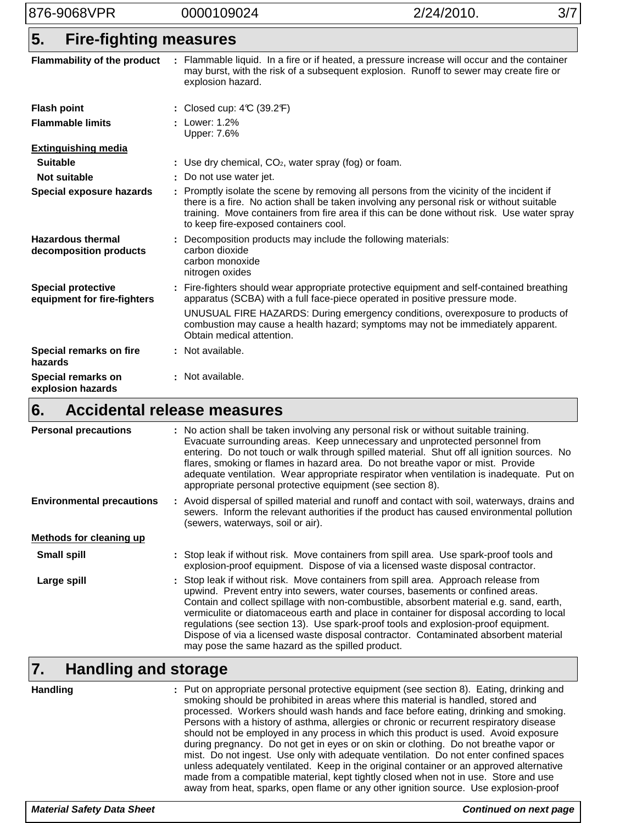876-9068VPR 0000109024 2/24/2010. 3/7

## **Fire-fighting measures 5.**

| Flammability of the product                              | Flammable liquid. In a fire or if heated, a pressure increase will occur and the container<br>may burst, with the risk of a subsequent explosion. Runoff to sewer may create fire or<br>explosion hazard.                                                                                                                     |
|----------------------------------------------------------|-------------------------------------------------------------------------------------------------------------------------------------------------------------------------------------------------------------------------------------------------------------------------------------------------------------------------------|
| <b>Flash point</b>                                       | : Closed cup: $4\mathbb{C}$ (39.2 $\mathbb{F}$ )                                                                                                                                                                                                                                                                              |
| <b>Flammable limits</b>                                  | : Lower: 1.2%<br>Upper: 7.6%                                                                                                                                                                                                                                                                                                  |
| <b>Extinguishing media</b>                               |                                                                                                                                                                                                                                                                                                                               |
| <b>Suitable</b>                                          | : Use dry chemical, $CO2$ , water spray (fog) or foam.                                                                                                                                                                                                                                                                        |
| Not suitable                                             | : Do not use water jet.                                                                                                                                                                                                                                                                                                       |
| Special exposure hazards                                 | : Promptly isolate the scene by removing all persons from the vicinity of the incident if<br>there is a fire. No action shall be taken involving any personal risk or without suitable<br>training. Move containers from fire area if this can be done without risk. Use water spray<br>to keep fire-exposed containers cool. |
| <b>Hazardous thermal</b><br>decomposition products       | : Decomposition products may include the following materials:<br>carbon dioxide<br>carbon monoxide<br>nitrogen oxides                                                                                                                                                                                                         |
| <b>Special protective</b><br>equipment for fire-fighters | : Fire-fighters should wear appropriate protective equipment and self-contained breathing<br>apparatus (SCBA) with a full face-piece operated in positive pressure mode.                                                                                                                                                      |
|                                                          | UNUSUAL FIRE HAZARDS: During emergency conditions, overexposure to products of<br>combustion may cause a health hazard; symptoms may not be immediately apparent.<br>Obtain medical attention.                                                                                                                                |
| Special remarks on fire<br>hazards                       | : Not available.                                                                                                                                                                                                                                                                                                              |
| Special remarks on<br>explosion hazards                  | : Not available.                                                                                                                                                                                                                                                                                                              |

### **Accidental release measures 6.**

| <b>Personal precautions</b>      | : No action shall be taken involving any personal risk or without suitable training.<br>Evacuate surrounding areas. Keep unnecessary and unprotected personnel from<br>entering. Do not touch or walk through spilled material. Shut off all ignition sources. No<br>flares, smoking or flames in hazard area. Do not breathe vapor or mist. Provide<br>adequate ventilation. Wear appropriate respirator when ventilation is inadequate. Put on<br>appropriate personal protective equipment (see section 8).                                                                                 |
|----------------------------------|------------------------------------------------------------------------------------------------------------------------------------------------------------------------------------------------------------------------------------------------------------------------------------------------------------------------------------------------------------------------------------------------------------------------------------------------------------------------------------------------------------------------------------------------------------------------------------------------|
| <b>Environmental precautions</b> | : Avoid dispersal of spilled material and runoff and contact with soil, waterways, drains and<br>sewers. Inform the relevant authorities if the product has caused environmental pollution<br>(sewers, waterways, soil or air).                                                                                                                                                                                                                                                                                                                                                                |
| Methods for cleaning up          |                                                                                                                                                                                                                                                                                                                                                                                                                                                                                                                                                                                                |
| <b>Small spill</b>               | : Stop leak if without risk. Move containers from spill area. Use spark-proof tools and<br>explosion-proof equipment. Dispose of via a licensed waste disposal contractor.                                                                                                                                                                                                                                                                                                                                                                                                                     |
| Large spill                      | : Stop leak if without risk. Move containers from spill area. Approach release from<br>upwind. Prevent entry into sewers, water courses, basements or confined areas.<br>Contain and collect spillage with non-combustible, absorbent material e.g. sand, earth,<br>vermiculite or diatomaceous earth and place in container for disposal according to local<br>regulations (see section 13). Use spark-proof tools and explosion-proof equipment.<br>Dispose of via a licensed waste disposal contractor. Contaminated absorbent material<br>may pose the same hazard as the spilled product. |

## **Handling and storage 7.**

| <b>Handling</b> | : Put on appropriate personal protective equipment (see section 8). Eating, drinking and<br>smoking should be prohibited in areas where this material is handled, stored and<br>processed. Workers should wash hands and face before eating, drinking and smoking.<br>Persons with a history of asthma, allergies or chronic or recurrent respiratory disease<br>should not be employed in any process in which this product is used. Avoid exposure<br>during pregnancy. Do not get in eyes or on skin or clothing. Do not breathe vapor or<br>mist. Do not ingest. Use only with adequate ventilation. Do not enter confined spaces<br>unless adequately ventilated. Keep in the original container or an approved alternative<br>made from a compatible material, kept tightly closed when not in use. Store and use<br>away from heat, sparks, open flame or any other ignition source. Use explosion-proof |
|-----------------|-----------------------------------------------------------------------------------------------------------------------------------------------------------------------------------------------------------------------------------------------------------------------------------------------------------------------------------------------------------------------------------------------------------------------------------------------------------------------------------------------------------------------------------------------------------------------------------------------------------------------------------------------------------------------------------------------------------------------------------------------------------------------------------------------------------------------------------------------------------------------------------------------------------------|
|-----------------|-----------------------------------------------------------------------------------------------------------------------------------------------------------------------------------------------------------------------------------------------------------------------------------------------------------------------------------------------------------------------------------------------------------------------------------------------------------------------------------------------------------------------------------------------------------------------------------------------------------------------------------------------------------------------------------------------------------------------------------------------------------------------------------------------------------------------------------------------------------------------------------------------------------------|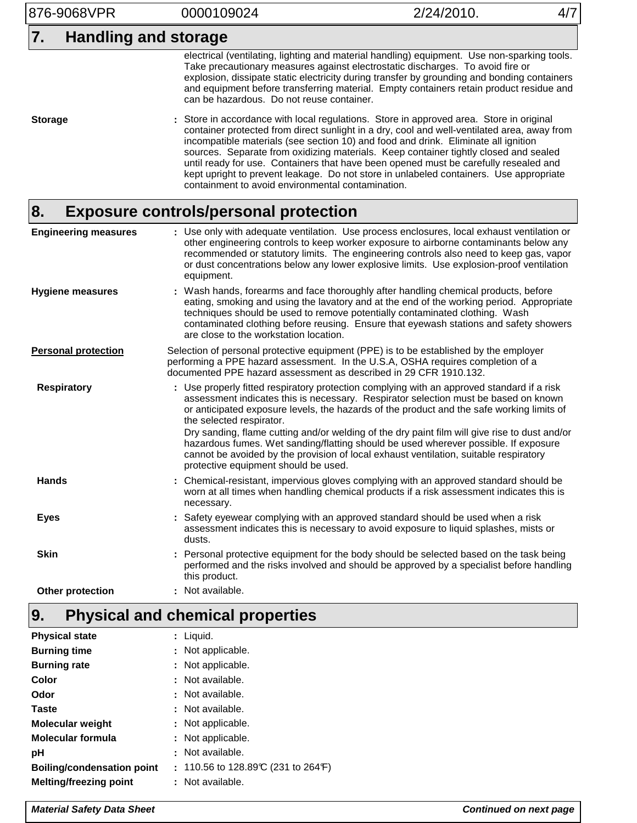876-9068VPR 0000109024 2/24/2010. 4/7

## **7. Handling and storage**

electrical (ventilating, lighting and material handling) equipment. Use non-sparking tools. Take precautionary measures against electrostatic discharges. To avoid fire or explosion, dissipate static electricity during transfer by grounding and bonding containers and equipment before transferring material. Empty containers retain product residue and can be hazardous. Do not reuse container.

Store in accordance with local regulations. Store in approved area. Store in original container protected from direct sunlight in a dry, cool and well-ventilated area, away from incompatible materials (see section 10) and food and drink. Eliminate all ignition sources. Separate from oxidizing materials. Keep container tightly closed and sealed until ready for use. Containers that have been opened must be carefully resealed and kept upright to prevent leakage. Do not store in unlabeled containers. Use appropriate containment to avoid environmental contamination. **Storage :**

#### **Exposure controls/personal protection 8.**

| <b>Engineering measures</b> | : Use only with adequate ventilation. Use process enclosures, local exhaust ventilation or<br>other engineering controls to keep worker exposure to airborne contaminants below any<br>recommended or statutory limits. The engineering controls also need to keep gas, vapor<br>or dust concentrations below any lower explosive limits. Use explosion-proof ventilation<br>equipment.                                                                                                                                                                                                                                             |
|-----------------------------|-------------------------------------------------------------------------------------------------------------------------------------------------------------------------------------------------------------------------------------------------------------------------------------------------------------------------------------------------------------------------------------------------------------------------------------------------------------------------------------------------------------------------------------------------------------------------------------------------------------------------------------|
| <b>Hygiene measures</b>     | : Wash hands, forearms and face thoroughly after handling chemical products, before<br>eating, smoking and using the lavatory and at the end of the working period. Appropriate<br>techniques should be used to remove potentially contaminated clothing. Wash<br>contaminated clothing before reusing. Ensure that eyewash stations and safety showers<br>are close to the workstation location.                                                                                                                                                                                                                                   |
| <b>Personal protection</b>  | Selection of personal protective equipment (PPE) is to be established by the employer<br>performing a PPE hazard assessment. In the U.S.A, OSHA requires completion of a<br>documented PPE hazard assessment as described in 29 CFR 1910.132.                                                                                                                                                                                                                                                                                                                                                                                       |
| <b>Respiratory</b>          | : Use properly fitted respiratory protection complying with an approved standard if a risk<br>assessment indicates this is necessary. Respirator selection must be based on known<br>or anticipated exposure levels, the hazards of the product and the safe working limits of<br>the selected respirator.<br>Dry sanding, flame cutting and/or welding of the dry paint film will give rise to dust and/or<br>hazardous fumes. Wet sanding/flatting should be used wherever possible. If exposure<br>cannot be avoided by the provision of local exhaust ventilation, suitable respiratory<br>protective equipment should be used. |
| Hands                       | Chemical-resistant, impervious gloves complying with an approved standard should be<br>worn at all times when handling chemical products if a risk assessment indicates this is<br>necessary.                                                                                                                                                                                                                                                                                                                                                                                                                                       |
| <b>Eyes</b>                 | : Safety eyewear complying with an approved standard should be used when a risk<br>assessment indicates this is necessary to avoid exposure to liquid splashes, mists or<br>dusts.                                                                                                                                                                                                                                                                                                                                                                                                                                                  |
| <b>Skin</b>                 | : Personal protective equipment for the body should be selected based on the task being<br>performed and the risks involved and should be approved by a specialist before handling<br>this product.                                                                                                                                                                                                                                                                                                                                                                                                                                 |
| Other protection            | Not available.                                                                                                                                                                                                                                                                                                                                                                                                                                                                                                                                                                                                                      |

#### **Physical and chemical properties 9.**

| : Liquid.                           |
|-------------------------------------|
| : Not applicable.                   |
| : Not applicable.                   |
| : Not available.                    |
| : Not available.                    |
| : Not available.                    |
| : Not applicable.                   |
| : Not applicable.                   |
| : Not available.                    |
| : 110.56 to 128.89°C (231 to 264°F) |
| : Not available.                    |
|                                     |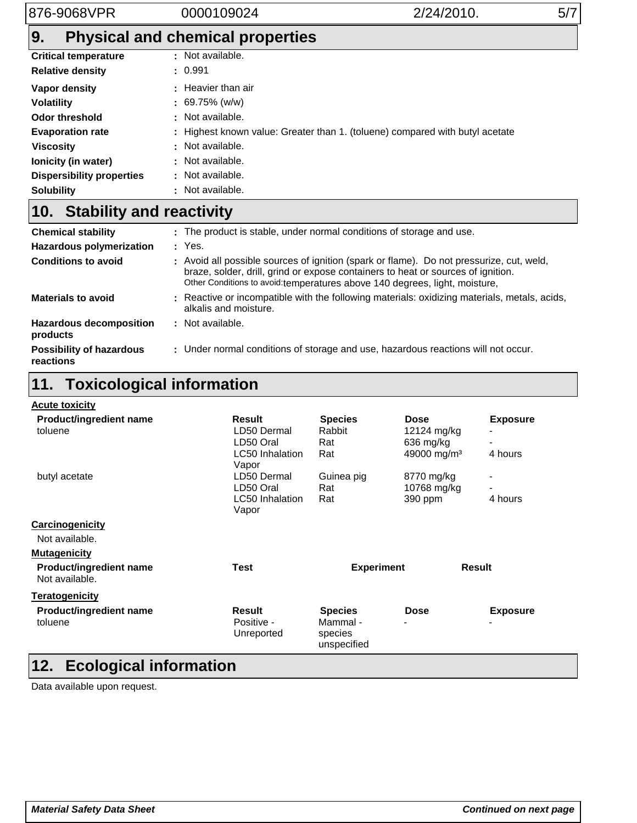# **9. Physical and chemical properties**

| <b>Critical temperature</b>      | : Not available.                                                             |
|----------------------------------|------------------------------------------------------------------------------|
| <b>Relative density</b>          | : 0.991                                                                      |
| Vapor density                    | : Heavier than air                                                           |
| <b>Volatility</b>                | $: 69.75\%$ (w/w)                                                            |
| <b>Odor threshold</b>            | : Not available.                                                             |
| <b>Evaporation rate</b>          | : Highest known value: Greater than 1. (toluene) compared with butyl acetate |
| <b>Viscosity</b>                 | : Not available.                                                             |
| Ionicity (in water)              | : Not available.                                                             |
| <b>Dispersibility properties</b> | : Not available.                                                             |
| <b>Solubility</b>                | : Not available.                                                             |

# **Stability and reactivity 10.**

| <b>Chemical stability</b>                    | . The product is stable, under normal conditions of storage and use.                                                                                                                                                                                        |
|----------------------------------------------|-------------------------------------------------------------------------------------------------------------------------------------------------------------------------------------------------------------------------------------------------------------|
| <b>Hazardous polymerization</b>              | : Yes.                                                                                                                                                                                                                                                      |
| <b>Conditions to avoid</b>                   | : Avoid all possible sources of ignition (spark or flame). Do not pressurize, cut, weld,<br>braze, solder, drill, grind or expose containers to heat or sources of ignition.<br>Other Conditions to avoid: temperatures above 140 degrees, light, moisture, |
| <b>Materials to avoid</b>                    | : Reactive or incompatible with the following materials: oxidizing materials, metals, acids,<br>alkalis and moisture.                                                                                                                                       |
| <b>Hazardous decomposition</b><br>products   | : Not available.                                                                                                                                                                                                                                            |
| <b>Possibility of hazardous</b><br>reactions | : Under normal conditions of storage and use, hazardous reactions will not occur.                                                                                                                                                                           |

# **11. Toxicological information**

| <b>Acute toxicity</b>                     |                          |                        |                         |                 |
|-------------------------------------------|--------------------------|------------------------|-------------------------|-----------------|
| Product/ingredient name                   | Result                   | <b>Species</b>         | <b>Dose</b>             | <b>Exposure</b> |
| toluene                                   | LD50 Dermal              | Rabbit                 | 12124 mg/kg             |                 |
|                                           | LD50 Oral                | Rat                    | 636 mg/kg               |                 |
|                                           | <b>LC50</b> Inhalation   | Rat                    | 49000 mg/m <sup>3</sup> | 4 hours         |
|                                           | Vapor                    |                        |                         |                 |
| butyl acetate                             | LD50 Dermal              | Guinea pig             | 8770 mg/kg              |                 |
|                                           | LD50 Oral                | Rat                    | 10768 mg/kg             |                 |
|                                           | LC50 Inhalation<br>Vapor | Rat                    | 390 ppm                 | 4 hours         |
| Carcinogenicity                           |                          |                        |                         |                 |
| Not available.                            |                          |                        |                         |                 |
| <b>Mutagenicity</b>                       |                          |                        |                         |                 |
| Product/ingredient name<br>Not available. | <b>Test</b>              | <b>Experiment</b>      |                         | <b>Result</b>   |
| <b>Teratogenicity</b>                     |                          |                        |                         |                 |
| <b>Product/ingredient name</b>            | Result                   | <b>Species</b>         | <b>Dose</b>             | <b>Exposure</b> |
| toluene                                   | Positive -               | Mammal -               |                         |                 |
|                                           | Unreported               | species<br>unspecified |                         |                 |
| <b>Ecological information</b><br>12.      |                          |                        |                         |                 |

Data available upon request.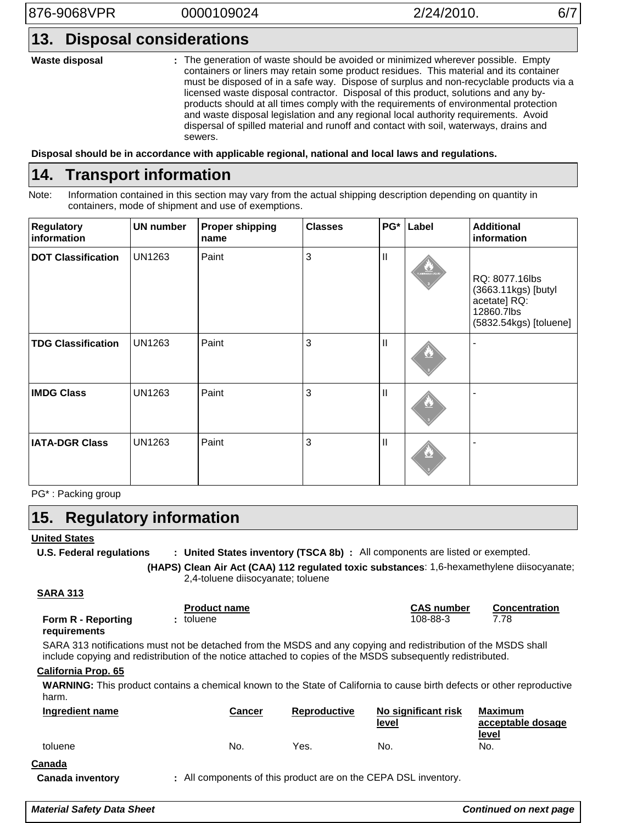**Waste disposal**

The generation of waste should be avoided or minimized wherever possible. Empty **:** containers or liners may retain some product residues. This material and its container must be disposed of in a safe way. Dispose of surplus and non-recyclable products via a licensed waste disposal contractor. Disposal of this product, solutions and any byproducts should at all times comply with the requirements of environmental protection and waste disposal legislation and any regional local authority requirements. Avoid dispersal of spilled material and runoff and contact with soil, waterways, drains and sewers.

**Disposal should be in accordance with applicable regional, national and local laws and regulations.**

#### **Transport information 14.**

Note: Information contained in this section may vary from the actual shipping description depending on quantity in containers, mode of shipment and use of exemptions.

| <b>Regulatory</b><br>information | <b>UN number</b> | <b>Proper shipping</b><br>name | <b>Classes</b> | $PG^*$       | Label           | <b>Additional</b><br>information                                                              |
|----------------------------------|------------------|--------------------------------|----------------|--------------|-----------------|-----------------------------------------------------------------------------------------------|
| <b>DOT Classification</b>        | <b>UN1263</b>    | Paint                          | 3              | $\mathbf{I}$ | <b>ANTICARE</b> | RQ: 8077.16lbs<br>(3663.11kgs) [butyl<br>acetate] RQ:<br>12860.7lbs<br>(5832.54kgs) [toluene] |
| <b>TDG Classification</b>        | <b>UN1263</b>    | Paint                          | 3              | $\mathbf{I}$ | ے               |                                                                                               |
| <b>IMDG Class</b>                | <b>UN1263</b>    | Paint                          | 3              | $\mathbf{I}$ | U.              |                                                                                               |
| <b>IATA-DGR Class</b>            | <b>UN1263</b>    | Paint                          | 3              | $\mathbf{I}$ | W.              |                                                                                               |

PG\* : Packing group

#### **Regulatory information 15.**

## **United States**

**U.S. Federal regulations** : United States inventory (TSCA 8b) : All components are listed or exempted.

> **Clean Air Act (CAA) 112 regulated toxic substances**: 1,6-hexamethylene diisocyanate; **(HAPS)** 2,4-toluene diisocyanate; toluene

## **SARA 313**

|                    | <b>Product name</b> | <b>CAS number</b> | Concentration |
|--------------------|---------------------|-------------------|---------------|
| Form R - Reporting | toluene             | 108-88-3          | 7.78          |
| requirements       |                     |                   |               |

## **requirements**

SARA 313 notifications must not be detached from the MSDS and any copying and redistribution of the MSDS shall include copying and redistribution of the notice attached to copies of the MSDS subsequently redistributed.

## **California Prop. 65**

**WARNING:** This product contains a chemical known to the State of California to cause birth defects or other reproductive harm.

| Ingredient name | Cancer | <b>Reproductive</b> | No significant risk<br>level | <b>Maximum</b><br>acceptable dosage |
|-----------------|--------|---------------------|------------------------------|-------------------------------------|
| toluene         | No.    | Yes.                | No.                          | <u>level</u><br>No.                 |

## **Canada**

**Canada inventory :**

All components of this product are on the CEPA DSL inventory.